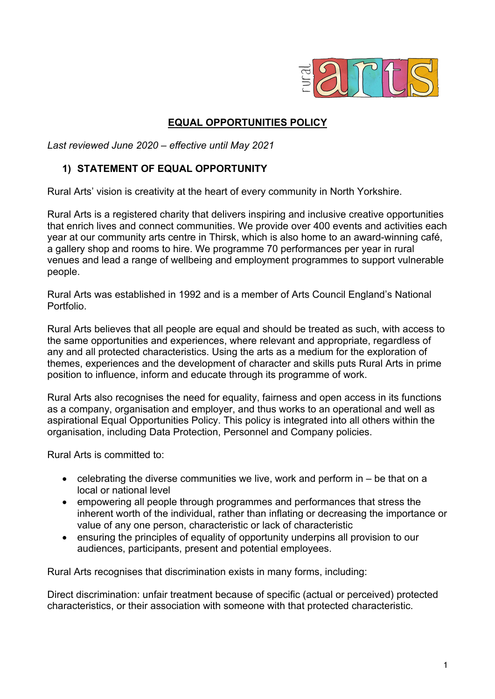

## **EQUAL OPPORTUNITIES POLICY**

*Last reviewed June 2020 – effective until May 2021*

### **1) STATEMENT OF EQUAL OPPORTUNITY**

Rural Arts' vision is creativity at the heart of every community in North Yorkshire.

Rural Arts is a registered charity that delivers inspiring and inclusive creative opportunities that enrich lives and connect communities. We provide over 400 events and activities each year at our community arts centre in Thirsk, which is also home to an award-winning café, a gallery shop and rooms to hire. We programme 70 performances per year in rural venues and lead a range of wellbeing and employment programmes to support vulnerable people.

Rural Arts was established in 1992 and is a member of Arts Council England's National Portfolio.

Rural Arts believes that all people are equal and should be treated as such, with access to the same opportunities and experiences, where relevant and appropriate, regardless of any and all protected characteristics. Using the arts as a medium for the exploration of themes, experiences and the development of character and skills puts Rural Arts in prime position to influence, inform and educate through its programme of work.

Rural Arts also recognises the need for equality, fairness and open access in its functions as a company, organisation and employer, and thus works to an operational and well as aspirational Equal Opportunities Policy. This policy is integrated into all others within the organisation, including Data Protection, Personnel and Company policies.

Rural Arts is committed to:

- celebrating the diverse communities we live, work and perform in be that on a local or national level
- empowering all people through programmes and performances that stress the inherent worth of the individual, rather than inflating or decreasing the importance or value of any one person, characteristic or lack of characteristic
- ensuring the principles of equality of opportunity underpins all provision to our audiences, participants, present and potential employees.

Rural Arts recognises that discrimination exists in many forms, including:

Direct discrimination: unfair treatment because of specific (actual or perceived) protected characteristics, or their association with someone with that protected characteristic.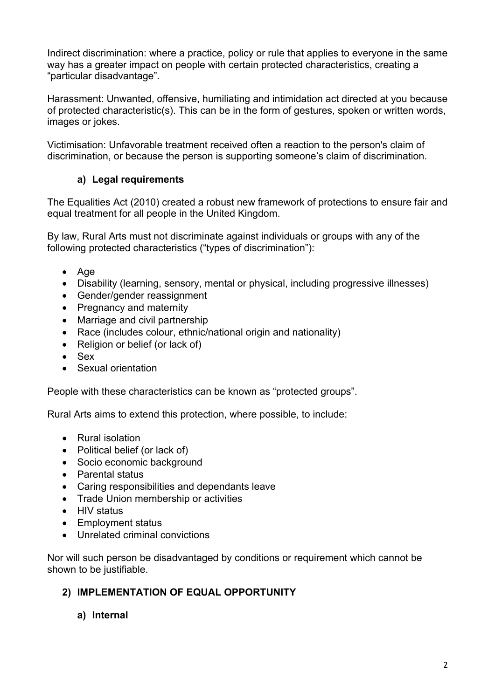Indirect discrimination: where a practice, policy or rule that applies to everyone in the same way has a greater impact on people with certain protected characteristics, creating a "particular disadvantage".

Harassment: Unwanted, offensive, humiliating and intimidation act directed at you because of protected characteristic(s). This can be in the form of gestures, spoken or written words, images or jokes.

Victimisation: Unfavorable treatment received often a reaction to the person's claim of discrimination, or because the person is supporting someone's claim of discrimination.

# **a) Legal requirements**

The Equalities Act (2010) created a robust new framework of protections to ensure fair and equal treatment for all people in the United Kingdom.

By law, Rural Arts must not discriminate against individuals or groups with any of the following protected characteristics ("types of discrimination"):

- Age
- Disability (learning, sensory, mental or physical, including progressive illnesses)
- Gender/gender reassignment
- Pregnancy and maternity
- Marriage and civil partnership
- Race (includes colour, ethnic/national origin and nationality)
- Religion or belief (or lack of)
- Sex
- Sexual orientation

People with these characteristics can be known as "protected groups".

Rural Arts aims to extend this protection, where possible, to include:

- Rural isolation
- Political belief (or lack of)
- Socio economic background
- Parental status
- Caring responsibilities and dependants leave
- Trade Union membership or activities
- HIV status
- Employment status
- Unrelated criminal convictions

Nor will such person be disadvantaged by conditions or requirement which cannot be shown to be justifiable.

#### **2) IMPLEMENTATION OF EQUAL OPPORTUNITY**

**a) Internal**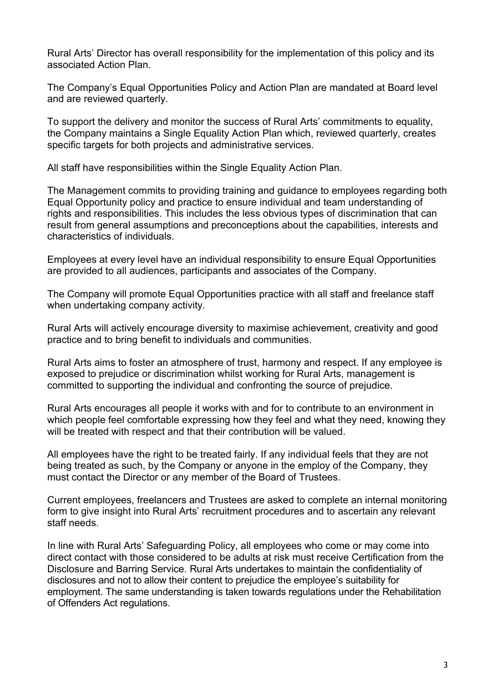Rural Arts' Director has overall responsibility for the implementation of this policy and its associated Action Plan.

The Company's Equal Opportunities Policy and Action Plan are mandated at Board level and are reviewed quarterly.

To support the delivery and monitor the success of Rural Arts' commitments to equality, the Company maintains a Single Equality Action Plan which, reviewed quarterly, creates specific targets for both projects and administrative services.

All staff have responsibilities within the Single Equality Action Plan.

The Management commits to providing training and guidance to employees regarding both Equal Opportunity policy and practice to ensure individual and team understanding of rights and responsibilities. This includes the less obvious types of discrimination that can result from general assumptions and preconceptions about the capabilities, interests and characteristics of individuals.

Employees at every level have an individual responsibility to ensure Equal Opportunities are provided to all audiences, participants and associates of the Company.

The Company will promote Equal Opportunities practice with all staff and freelance staff when undertaking company activity.

Rural Arts will actively encourage diversity to maximise achievement, creativity and good practice and to bring benefit to individuals and communities.

Rural Arts aims to foster an atmosphere of trust, harmony and respect. If any employee is exposed to prejudice or discrimination whilst working for Rural Arts, management is committed to supporting the individual and confronting the source of prejudice.

Rural Arts encourages all people it works with and for to contribute to an environment in which people feel comfortable expressing how they feel and what they need, knowing they will be treated with respect and that their contribution will be valued.

All employees have the right to be treated fairly. If any individual feels that they are not being treated as such, by the Company or anyone in the employ of the Company, they must contact the Director or any member of the Board of Trustees.

Current employees, freelancers and Trustees are asked to complete an internal monitoring form to give insight into Rural Arts' recruitment procedures and to ascertain any relevant staff needs.

In line with Rural Arts' Safeguarding Policy, all employees who come or may come into direct contact with those considered to be adults at risk must receive Certification from the Disclosure and Barring Service. Rural Arts undertakes to maintain the confidentiality of disclosures and not to allow their content to prejudice the employee's suitability for employment. The same understanding is taken towards regulations under the Rehabilitation of Offenders Act regulations.